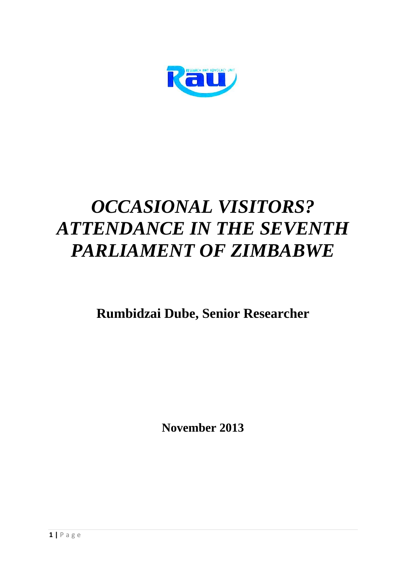

# *OCCASIONAL VISITORS? ATTENDANCE IN THE SEVENTH PARLIAMENT OF ZIMBABWE*

**Rumbidzai Dube, Senior Researcher**

**November 2013**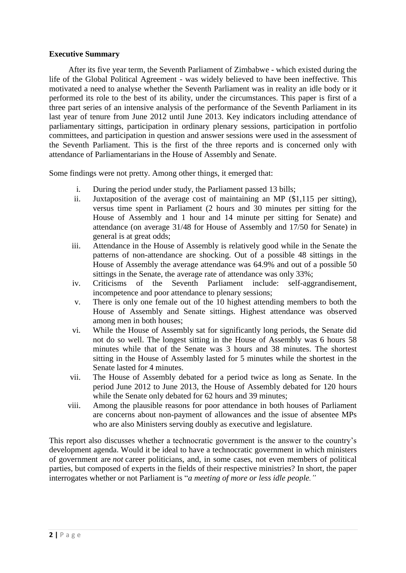#### **Executive Summary**

After its five year term, the Seventh Parliament of Zimbabwe - which existed during the life of the Global Political Agreement - was widely believed to have been ineffective. This motivated a need to analyse whether the Seventh Parliament was in reality an idle body or it performed its role to the best of its ability, under the circumstances. This paper is first of a three part series of an intensive analysis of the performance of the Seventh Parliament in its last year of tenure from June 2012 until June 2013. Key indicators including attendance of parliamentary sittings, participation in ordinary plenary sessions, participation in portfolio committees, and participation in question and answer sessions were used in the assessment of the Seventh Parliament. This is the first of the three reports and is concerned only with attendance of Parliamentarians in the House of Assembly and Senate.

Some findings were not pretty. Among other things, it emerged that:

- i. During the period under study, the Parliament passed 13 bills;
- ii. Juxtaposition of the average cost of maintaining an MP (\$1,115 per sitting), versus time spent in Parliament (2 hours and 30 minutes per sitting for the House of Assembly and 1 hour and 14 minute per sitting for Senate) and attendance (on average 31/48 for House of Assembly and 17/50 for Senate) in general is at great odds;
- iii. Attendance in the House of Assembly is relatively good while in the Senate the patterns of non-attendance are shocking. Out of a possible 48 sittings in the House of Assembly the average attendance was 64.9% and out of a possible 50 sittings in the Senate, the average rate of attendance was only 33%;
- iv. Criticisms of the Seventh Parliament include: self-aggrandisement, incompetence and poor attendance to plenary sessions;
- v. There is only one female out of the 10 highest attending members to both the House of Assembly and Senate sittings. Highest attendance was observed among men in both houses;
- vi. While the House of Assembly sat for significantly long periods, the Senate did not do so well. The longest sitting in the House of Assembly was 6 hours 58 minutes while that of the Senate was 3 hours and 38 minutes. The shortest sitting in the House of Assembly lasted for 5 minutes while the shortest in the Senate lasted for 4 minutes.
- vii. The House of Assembly debated for a period twice as long as Senate. In the period June 2012 to June 2013, the House of Assembly debated for 120 hours while the Senate only debated for 62 hours and 39 minutes;
- viii. Among the plausible reasons for poor attendance in both houses of Parliament are concerns about non-payment of allowances and the issue of absentee MPs who are also Ministers serving doubly as executive and legislature.

This report also discusses whether a technocratic government is the answer to the country's development agenda. Would it be ideal to have a technocratic government in which ministers of government are *not* career politicians, and, in some cases, not even members of political parties, but composed of experts in the fields of their respective ministries? In short, the paper interrogates whether or not Parliament is "*a meeting of more or less idle people."*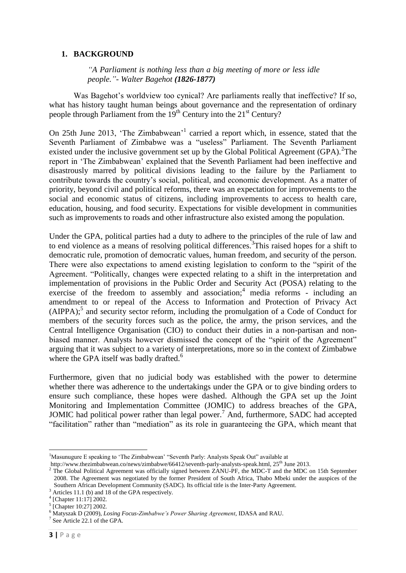# **1. BACKGROUND**

*["A Parliament is nothing less than a big meeting of more or less idle](http://www.brainyquote.com/quotes/quotes/w/walterbage134203.html)  [people."](http://www.brainyquote.com/quotes/quotes/w/walterbage134203.html)- [Walter Bagehot](http://www.brainyquote.com/quotes/authors/w/walter_bagehot.html) (1826-1877)*

Was Bagehot's worldview too cynical? Are parliaments really that ineffective? If so, what has history taught human beings about governance and the representation of ordinary people through Parliament from the 19<sup>th</sup> Century into the 21<sup>st</sup> Century?

On 25th June 2013, 'The Zimbabwean'<sup>1</sup> carried a report which, in essence, stated that the Seventh Parliament of Zimbabwe was a "useless" Parliament. The Seventh Parliament existed under the inclusive government set up by the Global Political Agreement  $(GPA)$ . <sup>2</sup>The report in 'The Zimbabwean' explained that the Seventh Parliament had been ineffective and disastrously marred by political divisions leading to the failure by the Parliament to contribute towards the country's social, political, and economic development. As a matter of priority, beyond civil and political reforms, there was an expectation for improvements to the social and economic status of citizens, including improvements to access to health care, education, housing, and food security. Expectations for visible development in communities such as improvements to roads and other infrastructure also existed among the population.

Under the GPA, political parties had a duty to adhere to the principles of the rule of law and to end violence as a means of resolving political differences.<sup>3</sup>This raised hopes for a shift to democratic rule, promotion of democratic values, human freedom, and security of the person. There were also expectations to amend existing legislation to conform to the "spirit of the Agreement. "Politically, changes were expected relating to a shift in the interpretation and implementation of provisions in the Public Order and Security Act (POSA) relating to the exercise of the freedom to assembly and association;<sup>4</sup> media reforms - including an amendment to or repeal of the Access to Information and Protection of Privacy Act  $(AIPPA)$ ;<sup>5</sup> and security sector reform, including the promulgation of a Code of Conduct for members of the security forces such as the police, the army, the prison services, and the Central Intelligence Organisation (CIO) to conduct their duties in a non-partisan and nonbiased manner. Analysts however dismissed the concept of the "spirit of the Agreement" arguing that it was subject to a variety of interpretations, more so in the context of Zimbabwe where the GPA itself was badly drafted.<sup>6</sup>

Furthermore, given that no judicial body was established with the power to determine whether there was adherence to the undertakings under the GPA or to give binding orders to ensure such compliance, these hopes were dashed. Although the GPA set up the Joint Monitoring and Implementation Committee (JOMIC) to address breaches of the GPA, JOMIC had political power rather than legal power.<sup>7</sup> And, furthermore, SADC had accepted "facilitation" rather than "mediation" as its role in guaranteeing the GPA, which meant that

 $\overline{a}$ <sup>1</sup>Masunugure E speaking to 'The Zimbabwean' "Seventh Parly: Analysts Speak Out" available at

http://www.thezimbabwean.co/news/zimbabwe/66412/seventh-parly-analysts-speak.html, 25<sup>th</sup> June 2013.

<sup>2</sup> The Global Political Agreement was officially signed between ZANU-PF, the MDC-T and the MDC on 15th September 2008. The Agreement was negotiated by the former President of South Africa, Thabo Mbeki under the auspices of the Southern African Development Community (SADC). Its official title is the Inter-Party Agreement.

<sup>&</sup>lt;sup>3</sup> Articles 11.1 (b) and 18 of the GPA respectively.

<sup>4</sup> [Chapter 11:17] 2002.

<sup>5</sup> [Chapter 10:27] 2002.

<sup>6</sup> Matyszak D (2009), *Losing Focus-Zimbabwe's Power Sharing Agreement*, IDASA and RAU.

<sup>7</sup> See Article 22.1 of the GPA.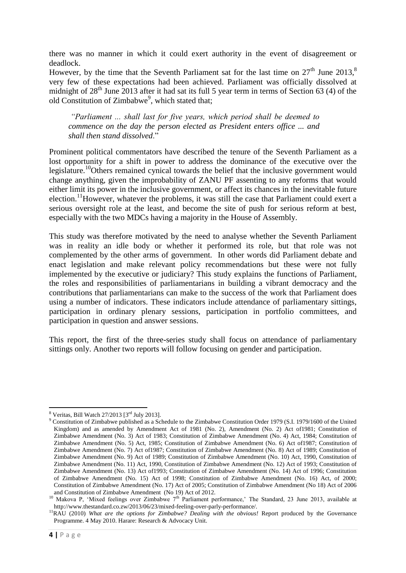there was no manner in which it could exert authority in the event of disagreement or deadlock.

However, by the time that the Seventh Parliament sat for the last time on  $27<sup>th</sup>$  June  $2013<sup>8</sup>$ very few of these expectations had been achieved. Parliament was officially dissolved at midnight of  $28<sup>th</sup>$  June 2013 after it had sat its full 5 year term in terms of Section 63 (4) of the old Constitution of Zimbabwe<sup>9</sup>, which stated that;

*"Parliament ... shall last for five years, which period shall be deemed to commence on the day the person elected as President enters office ... and shall then stand dissolved*."

Prominent political commentators have described the tenure of the Seventh Parliament as a lost opportunity for a shift in power to address the dominance of the executive over the legislature.<sup>10</sup>Others remained cynical towards the belief that the inclusive government would change anything, given the improbability of ZANU PF assenting to any reforms that would either limit its power in the inclusive government, or affect its chances in the inevitable future election.<sup>11</sup>However, whatever the problems, it was still the case that Parliament could exert a serious oversight role at the least, and become the site of push for serious reform at best, especially with the two MDCs having a majority in the House of Assembly.

This study was therefore motivated by the need to analyse whether the Seventh Parliament was in reality an idle body or whether it performed its role, but that role was not complemented by the other arms of government. In other words did Parliament debate and enact legislation and make relevant policy recommendations but these were not fully implemented by the executive or judiciary? This study explains the functions of Parliament, the roles and responsibilities of parliamentarians in building a vibrant democracy and the contributions that parliamentarians can make to the success of the work that Parliament does using a number of indicators. These indicators include attendance of parliamentary sittings, participation in ordinary plenary sessions, participation in portfolio committees, and participation in question and answer sessions.

This report, the first of the three-series study shall focus on attendance of parliamentary sittings only. Another two reports will follow focusing on gender and participation.

 $\overline{a}$  $8$  Veritas, Bill Watch 27/2013 [3<sup>rd</sup> July 2013].

<sup>9</sup> Constitution of Zimbabwe published as a Schedule to the Zimbabwe Constitution Order 1979 (S.I. 1979/1600 of the United Kingdom) and as amended by Amendment Act of 1981 (No. 2), Amendment (No. 2) Act of1981; Constitution of Zimbabwe Amendment (No. 3) Act of 1983; Constitution of Zimbabwe Amendment (No. 4) Act, 1984; Constitution of Zimbabwe Amendment (No. 5) Act, 1985; Constitution of Zimbabwe Amendment (No. 6) Act of1987; Constitution of Zimbabwe Amendment (No. 7) Act of1987; Constitution of Zimbabwe Amendment (No. 8) Act of 1989; Constitution of Zimbabwe Amendment (No. 9) Act of 1989; Constitution of Zimbabwe Amendment (No. 10) Act, 1990, Constitution of Zimbabwe Amendment (No. 11) Act, 1990, Constitution of Zimbabwe Amendment (No. 12) Act of 1993; Constitution of Zimbabwe Amendment (No. 13) Act of1993; Constitution of Zimbabwe Amendment (No. 14) Act of 1996; Constitution of Zimbabwe Amendment (No. 15) Act of 1998; Constitution of Zimbabwe Amendment (No. 16) Act, of 2000; Constitution of Zimbabwe Amendment (No. 17) Act of 2005; Constitution of Zimbabwe Amendment (No 18) Act of 2006 and Constitution of Zimbabwe Amendment (No 19) Act of 2012.

<sup>&</sup>lt;sup>10</sup> Makova P, 'Mixed feelings over Zimbabwe 7<sup>th</sup> Parliament performance,' The Standard, 23 June 2013, available at http://www.thestandard.co.zw/2013/06/23/mixed-feeling-over-parly-performance/.

<sup>&</sup>lt;sup>11</sup>RAU (2010) *What are the options for Zimbabwe? Dealing with the obvious!* Report produced by the Governance Programme. 4 May 2010. Harare: Research & Advocacy Unit.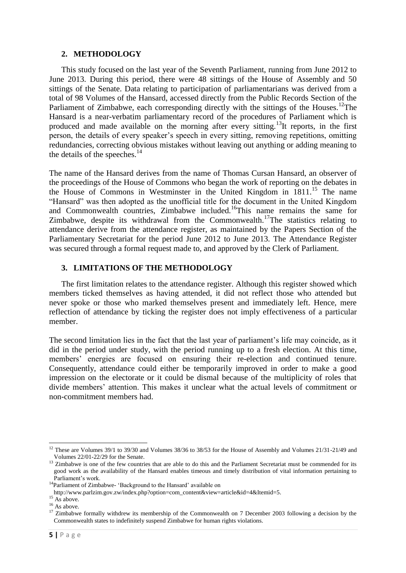#### **2. METHODOLOGY**

This study focused on the last year of the Seventh Parliament, running from June 2012 to June 2013. During this period, there were 48 sittings of the House of Assembly and 50 sittings of the Senate. Data relating to participation of parliamentarians was derived from a total of 98 Volumes of the Hansard, accessed directly from the Public Records Section of the Parliament of Zimbabwe, each corresponding directly with the sittings of the Houses.<sup>12</sup>The Hansard is a near-verbatim parliamentary record of the procedures of Parliament which is produced and made available on the morning after every sitting.<sup>13</sup>It reports, in the first person, the details of every speaker's speech in every sitting, removing repetitions, omitting redundancies, correcting obvious mistakes without leaving out anything or adding meaning to the details of the speeches. $14$ 

The name of the Hansard derives from the name of Thomas Cursan Hansard, an observer of the proceedings of the House of Commons who began the work of reporting on the debates in the House of Commons in Westminster in the United Kingdom in 1811.<sup>15</sup> The name "Hansard" was then adopted as the unofficial title for the document in the United Kingdom and Commonwealth countries, Zimbabwe included.<sup>16</sup>This name remains the same for Zimbabwe, despite its withdrawal from the Commonwealth.<sup>17</sup>The statistics relating to attendance derive from the attendance register, as maintained by the Papers Section of the Parliamentary Secretariat for the period June 2012 to June 2013. The Attendance Register was secured through a formal request made to, and approved by the Clerk of Parliament.

# **3. LIMITATIONS OF THE METHODOLOGY**

The first limitation relates to the attendance register. Although this register showed which members ticked themselves as having attended, it did not reflect those who attended but never spoke or those who marked themselves present and immediately left. Hence, mere reflection of attendance by ticking the register does not imply effectiveness of a particular member.

The second limitation lies in the fact that the last year of parliament's life may coincide, as it did in the period under study, with the period running up to a fresh election. At this time, members' energies are focused on ensuring their re-election and continued tenure. Consequently, attendance could either be temporarily improved in order to make a good impression on the electorate or it could be dismal because of the multiplicity of roles that divide members' attention. This makes it unclear what the actual levels of commitment or non-commitment members had.

<sup>&</sup>lt;sup>12</sup> These are Volumes  $39/1$  to  $39/30$  and Volumes  $38/36$  to  $38/53$  for the House of Assembly and Volumes  $21/31$ -21/49 and Volumes 22/01-22/29 for the Senate.

<sup>&</sup>lt;sup>13</sup> Zimbabwe is one of the few countries that are able to do this and the Parliament Secretariat must be commended for its good work as the availability of the Hansard enables timeous and timely distribution of vital information pertaining to Parliament's work.

<sup>&</sup>lt;sup>14</sup>Parliament of Zimbabwe- 'Background to the Hansard' available on

http://www.parlzim.gov.zw/index.php?option=com\_content&view=article&id=4&Itemid=5.

 $15$  As above.

 $16$  As above.

<sup>&</sup>lt;sup>17</sup> Zimbabwe formally withdrew its membership of the Commonwealth on 7 December 2003 following a decision by the Commonwealth states to indefinitely suspend Zimbabwe for human rights violations.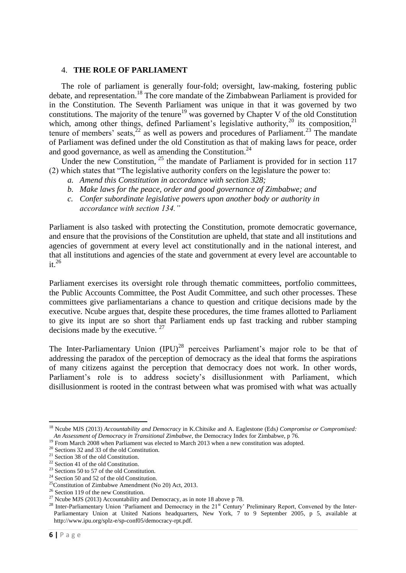#### 4. **THE ROLE OF PARLIAMENT**

The role of parliament is generally four-fold; oversight, law-making, fostering public debate, and representation.<sup>18</sup> The core mandate of the Zimbabwean Parliament is provided for in the Constitution. The Seventh Parliament was unique in that it was governed by two constitutions. The majority of the tenure<sup>19</sup> was governed by Chapter V of the old Constitution which, among other things, defined Parliament's legislative authority, $20$  its composition, $21$ tenure of members' seats, $2^2$  as well as powers and procedures of Parliament.<sup>23</sup> The mandate of Parliament was defined under the old Constitution as that of making laws for peace, order and good governance, as well as amending the Constitution.<sup>24</sup>

Under the new Constitution,  $^{25}$  the mandate of Parliament is provided for in section 117 (2) which states that "The legislative authority confers on the legislature the power to:

- *a. Amend this Constitution in accordance with section 328;*
- *b. Make laws for the peace, order and good governance of Zimbabwe; and*
- *c. Confer subordinate legislative powers upon another body or authority in accordance with section 134."*

Parliament is also tasked with protecting the Constitution, promote democratic governance, and ensure that the provisions of the Constitution are upheld, that state and all institutions and agencies of government at every level act constitutionally and in the national interest, and that all institutions and agencies of the state and government at every level are accountable to it.<sup>26</sup>

Parliament exercises its oversight role through thematic committees, portfolio committees, the Public Accounts Committee, the Post Audit Committee, and such other processes. These committees give parliamentarians a chance to question and critique decisions made by the executive. Ncube argues that, despite these procedures, the time frames allotted to Parliament to give its input are so short that Parliament ends up fast tracking and rubber stamping decisions made by the executive.  $27$ 

The Inter-Parliamentary Union  $(IPU)^{28}$  perceives Parliament's major role to be that of addressing the paradox of the perception of democracy as the ideal that forms the aspirations of many citizens against the perception that democracy does not work. In other words, Parliament's role is to address society's disillusionment with Parliament, which disillusionment is rooted in the contrast between what was promised with what was actually

<sup>18</sup> Ncube MJS (2013) *Accountability and Democracy* in K.Chitsike and A. Eaglestone (Eds*) Compromise or Compromised: An Assessment of Democracy in Transitional Zimbabwe*, the Democracy Index for Zimbabwe, p 76.

<sup>&</sup>lt;sup>19</sup> From March 2008 when Parliament was elected to March 2013 when a new constitution was adopted.

<sup>20</sup> Sections 32 and 33 of the old Constitution.

 $21$  Section 38 of the old Constitution.

 $22$  Section 41 of the old Constitution.

<sup>23</sup> Sections 50 to 57 of the old Constitution.

<sup>&</sup>lt;sup>24</sup> Section 50 and 52 of the old Constitution.

<sup>25</sup>Constitution of Zimbabwe Amendment (No 20) Act, 2013.

<sup>&</sup>lt;sup>26</sup> Section 119 of the new Constitution.

<sup>&</sup>lt;sup>27</sup> Ncube MJS (2013) Accountability and Democracy, as in note 18 above p 78.

<sup>&</sup>lt;sup>28</sup> Inter-Parliamentary Union 'Parliament and Democracy in the 21<sup>st</sup> Century' Preliminary Report, Convened by the Inter-Parliamentary Union at United Nations headquarters, New York, 7 to 9 September 2005, p 5, available at http://www.ipu.org/splz-e/sp-conf05/democracy-rpt.pdf.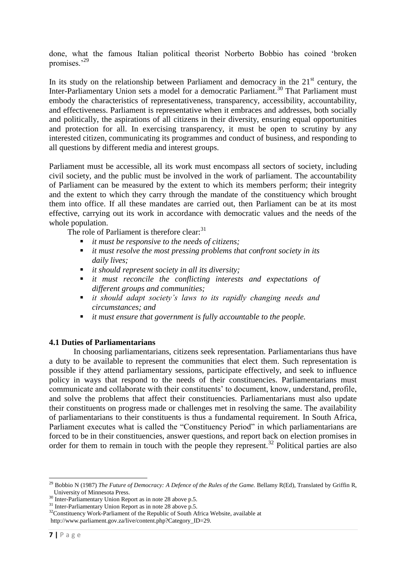done, what the famous Italian political theorist Norberto Bobbio has coined 'broken promises.'<sup>29</sup>

In its study on the relationship between Parliament and democracy in the  $21<sup>st</sup>$  century, the Inter-Parliamentary Union sets a model for a democratic Parliament.<sup>30</sup> That Parliament must embody the characteristics of representativeness, transparency, accessibility, accountability, and effectiveness. Parliament is representative when it embraces and addresses, both socially and politically, the aspirations of all citizens in their diversity, ensuring equal opportunities and protection for all. In exercising transparency, it must be open to scrutiny by any interested citizen, communicating its programmes and conduct of business, and responding to all questions by different media and interest groups.

Parliament must be accessible, all its work must encompass all sectors of society, including civil society, and the public must be involved in the work of parliament. The accountability of Parliament can be measured by the extent to which its members perform; their integrity and the extent to which they carry through the mandate of the constituency which brought them into office. If all these mandates are carried out, then Parliament can be at its most effective, carrying out its work in accordance with democratic values and the needs of the whole population.

The role of Parliament is therefore clear:<sup>31</sup>

- *it must be responsive to the needs of citizens;*
- *it must resolve the most pressing problems that confront society in its daily lives;*
- *it should represent society in all its diversity;*
- *it must reconcile the conflicting interests and expectations of different groups and communities;*
- *it should adapt society's laws to its rapidly changing needs and circumstances; and*
- *it must ensure that government is fully accountable to the people.*

#### **4.1 Duties of Parliamentarians**

In choosing parliamentarians, citizens seek representation. Parliamentarians thus have a duty to be available to represent the communities that elect them. Such representation is possible if they attend parliamentary sessions, participate effectively, and seek to influence policy in ways that respond to the needs of their constituencies. Parliamentarians must communicate and collaborate with their constituents' to document, know, understand, profile, and solve the problems that affect their constituencies. Parliamentarians must also update their constituents on progress made or challenges met in resolving the same. The availability of parliamentarians to their constituents is thus a fundamental requirement. In South Africa, Parliament executes what is called the "Constituency Period" in which parliamentarians are forced to be in their constituencies, answer questions, and report back on election promises in order for them to remain in touch with the people they represent.<sup>32</sup> Political parties are also

 $\overline{a}$ <sup>29</sup> Bobbio N (1987) *The Future of Democracy: A Defence of the Rules of the Game.* Bellamy R(Ed), Translated by Griffin R, University of Minnesota Press.

<sup>&</sup>lt;sup>30</sup> Inter-Parliamentary Union Report as in note 28 above p.5.

<sup>&</sup>lt;sup>31</sup> Inter-Parliamentary Union Report as in note 28 above p.5.

<sup>&</sup>lt;sup>32</sup>Constituency Work-Parliament of the Republic of South Africa Website, available at http://www.parliament.gov.za/live/content.php?Category\_ID=29.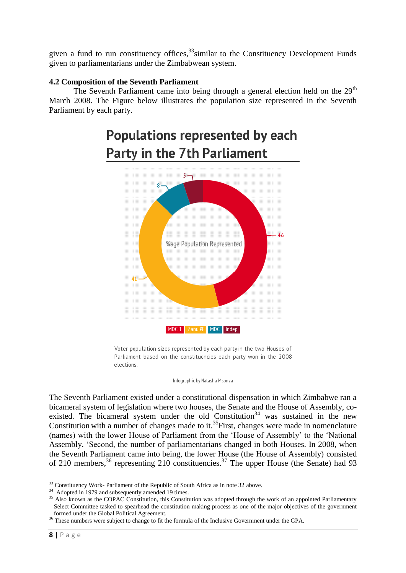given a fund to run constituency offices,<sup>33</sup>similar to the Constituency Development Funds given to parliamentarians under the Zimbabwean system.

# **4.2 Composition of the Seventh Parliament**

The Seventh Parliament came into being through a general election held on the  $29<sup>th</sup>$ March 2008. The Figure below illustrates the population size represented in the Seventh Parliament by each party.

# **Populations represented by each Party in the 7th Parliament**



Voter population sizes represented by each party in the two Houses of Parliament based on the constituencies each party won in the 2008 elections.

Infographic by Natasha Msonza

The Seventh Parliament existed under a constitutional dispensation in which Zimbabwe ran a bicameral system of legislation where two houses, the Senate and the House of Assembly, coexisted. The bicameral system under the old  $\overline{C}$  Constitution<sup>34</sup> was sustained in the new Constitution with a number of changes made to it.<sup>35</sup>First, changes were made in nomenclature (names) with the lower House of Parliament from the 'House of Assembly' to the 'National Assembly. 'Second, the number of parliamentarians changed in both Houses. In 2008, when the Seventh Parliament came into being, the lower House (the House of Assembly) consisted of 210 members, $36$  representing 210 constituencies. $37$  The upper House (the Senate) had 93

 $\overline{a}$ <sup>33</sup> Constituency Work- Parliament of the Republic of South Africa as in note 32 above.

<sup>&</sup>lt;sup>34</sup> Adopted in 1979 and subsequently amended 19 times.

<sup>&</sup>lt;sup>35</sup> Also known as the COPAC Constitution, this Constitution was adopted through the work of an appointed Parliamentary Select Committee tasked to spearhead the constitution making process as one of the major objectives of the government formed under the Global Political Agreement.

<sup>&</sup>lt;sup>36</sup> These numbers were subject to change to fit the formula of the Inclusive Government under the GPA.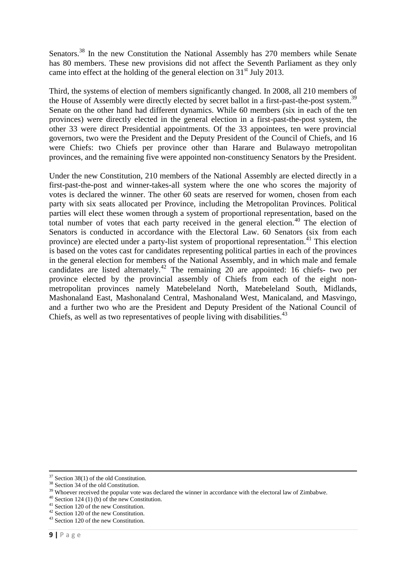Senators.<sup>38</sup> In the new Constitution the National Assembly has 270 members while Senate has 80 members. These new provisions did not affect the Seventh Parliament as they only came into effect at the holding of the general election on  $31<sup>st</sup>$  July 2013.

Third, the systems of election of members significantly changed. In 2008, all 210 members of the House of Assembly were directly elected by secret ballot in a first-past-the-post system.<sup>39</sup> Senate on the other hand had different dynamics. While 60 members (six in each of the ten provinces) were directly elected in the general election in a first-past-the-post system, the other 33 were direct Presidential appointments. Of the 33 appointees, ten were provincial governors, two were the President and the Deputy President of the Council of Chiefs, and 16 were Chiefs: two Chiefs per province other than Harare and Bulawayo metropolitan provinces, and the remaining five were appointed non-constituency Senators by the President.

Under the new Constitution, 210 members of the National Assembly are elected directly in a first-past-the-post and winner-takes-all system where the one who scores the majority of votes is declared the winner. The other 60 seats are reserved for women, chosen from each party with six seats allocated per Province, including the Metropolitan Provinces. Political parties will elect these women through a system of proportional representation, based on the total number of votes that each party received in the general election.<sup>40</sup> The election of Senators is conducted in accordance with the Electoral Law. 60 Senators (six from each province) are elected under a party-list system of proportional representation.<sup>41</sup> This election is based on the votes cast for candidates representing political parties in each of the provinces in the general election for members of the National Assembly, and in which male and female candidates are listed alternately.<sup>42</sup> The remaining 20 are appointed: 16 chiefs- two per province elected by the provincial assembly of Chiefs from each of the eight nonmetropolitan provinces namely Matebeleland North, Matebeleland South, Midlands, Mashonaland East, Mashonaland Central, Mashonaland West, Manicaland, and Masvingo, and a further two who are the President and Deputy President of the National Council of Chiefs, as well as two representatives of people living with disabilities.<sup>43</sup>

**<sup>.</sup>**  $37$  Section 38(1) of the old Constitution.

<sup>&</sup>lt;sup>38</sup> Section 34 of the old Constitution.

<sup>&</sup>lt;sup>39</sup> Whoever received the popular vote was declared the winner in accordance with the electoral law of Zimbabwe.

 $40$  Section 124 (1) (b) of the new Constitution.

<sup>41</sup> Section 120 of the new Constitution.

<sup>42</sup> Section 120 of the new Constitution.

<sup>43</sup> Section 120 of the new Constitution.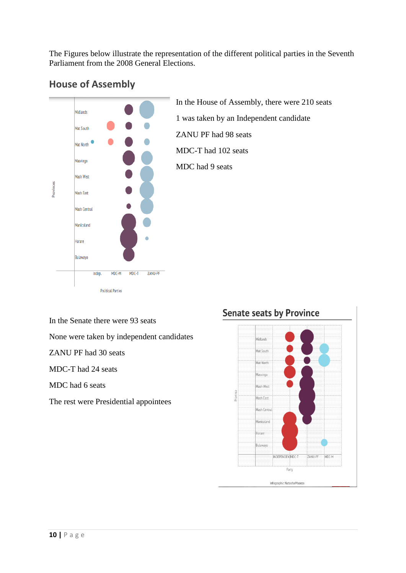The Figures below illustrate the representation of the different political parties in the Seventh Parliament from the 2008 General Elections.



# **House of Assembly**

In the House of Assembly, there were 210 seats 1 was taken by an Independent candidate ZANU PF had 98 seats MDC-T had 102 seats MDC had 9 seats

In the Senate there were 93 seats

None were taken by independent candidates

ZANU PF had 30 seats

MDC-T had 24 seats

MDC had 6 seats

The rest were Presidential appointees

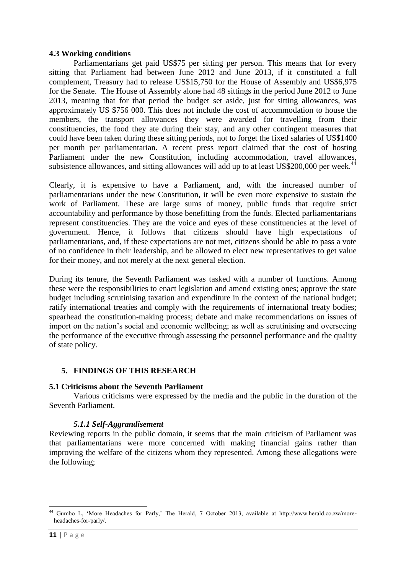#### **4.3 Working conditions**

Parliamentarians get paid US\$75 per sitting per person. This means that for every sitting that Parliament had between June 2012 and June 2013, if it constituted a full complement, Treasury had to release US\$15,750 for the House of Assembly and US\$6,975 for the Senate. The House of Assembly alone had 48 sittings in the period June 2012 to June 2013, meaning that for that period the budget set aside, just for sitting allowances, was approximately US \$756 000. This does not include the cost of accommodation to house the members, the transport allowances they were awarded for travelling from their constituencies, the food they ate during their stay, and any other contingent measures that could have been taken during these sitting periods, not to forget the fixed salaries of US\$1400 per month per parliamentarian. A recent press report claimed that the cost of hosting Parliament under the new Constitution, including accommodation, travel allowances, subsistence allowances, and sitting allowances will add up to at least US\$200,000 per week.<sup>44</sup>

Clearly, it is expensive to have a Parliament, and, with the increased number of parliamentarians under the new Constitution, it will be even more expensive to sustain the work of Parliament. These are large sums of money, public funds that require strict accountability and performance by those benefitting from the funds. Elected parliamentarians represent constituencies. They are the voice and eyes of these constituencies at the level of government. Hence, it follows that citizens should have high expectations of parliamentarians, and, if these expectations are not met, citizens should be able to pass a vote of no confidence in their leadership, and be allowed to elect new representatives to get value for their money, and not merely at the next general election.

During its tenure, the Seventh Parliament was tasked with a number of functions. Among these were the responsibilities to enact legislation and amend existing ones; approve the state budget including scrutinising taxation and expenditure in the context of the national budget; ratify international treaties and comply with the requirements of international treaty bodies; spearhead the constitution-making process; debate and make recommendations on issues of import on the nation's social and economic wellbeing; as well as scrutinising and overseeing the performance of the executive through assessing the personnel performance and the quality of state policy.

# **5. FINDINGS OF THIS RESEARCH**

# **5.1 Criticisms about the Seventh Parliament**

Various criticisms were expressed by the media and the public in the duration of the Seventh Parliament.

# *5.1.1 Self-Aggrandisement*

Reviewing reports in the public domain, it seems that the main criticism of Parliament was that parliamentarians were more concerned with making financial gains rather than improving the welfare of the citizens whom they represented. Among these allegations were the following;

**<sup>.</sup>** <sup>44</sup> Gumbo L, 'More Headaches for Parly,' The Herald, 7 October 2013, available at http://www.herald.co.zw/moreheadaches-for-parly/.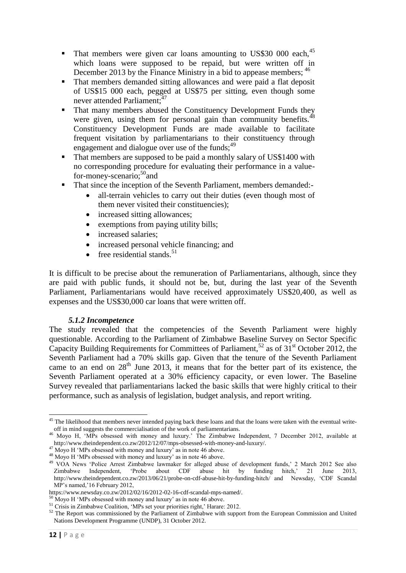- $\blacksquare$  That members were given car loans amounting to US\$30 000 each,  $45$ which loans were supposed to be repaid, but were written off in December 2013 by the Finance Ministry in a bid to appease members; <sup>46</sup>
- That members demanded sitting allowances and were paid a flat deposit of US\$15 000 each, pegged at US\$75 per sitting, even though some never attended Parliament;<sup>47</sup>
- **That many members abused the Constituency Development Funds they** were given, using them for personal gain than community benefits.<sup>48</sup> Constituency Development Funds are made available to facilitate frequent visitation by parliamentarians to their constituency through engagement and dialogue over use of the funds;  $49$
- That members are supposed to be paid a monthly salary of US\$1400 with no corresponding procedure for evaluating their performance in a valuefor-money-scenario;<sup>50</sup>and
- That since the inception of the Seventh Parliament, members demanded:
	- all-terrain vehicles to carry out their duties (even though most of them never visited their constituencies);
	- increased sitting allowances;
	- exemptions from paying utility bills;
	- increased salaries;
	- increased personal vehicle financing; and
	- $\bullet$  free residential stands.<sup>51</sup>

It is difficult to be precise about the remuneration of Parliamentarians, although, since they are paid with public funds, it should not be, but, during the last year of the Seventh Parliament, Parliamentarians would have received approximately US\$20,400, as well as expenses and the US\$30,000 car loans that were written off.

# *5.1.2 Incompetence*

The study revealed that the competencies of the Seventh Parliament were highly questionable. According to the Parliament of Zimbabwe Baseline Survey on Sector Specific Capacity Building Requirements for Committees of Parliament,<sup>52</sup> as of 31<sup>st</sup> October 2012, the Seventh Parliament had a 70% skills gap. Given that the tenure of the Seventh Parliament came to an end on  $28<sup>th</sup>$  June 2013, it means that for the better part of its existence, the Seventh Parliament operated at a 30% efficiency capacity, or even lower. The Baseline Survey revealed that parliamentarians lacked the basic skills that were highly critical to their performance, such as analysis of legislation, budget analysis, and report writing.

 $45$  The likelihood that members never intended paying back these loans and that the loans were taken with the eventual writeoff in mind suggests the commercialisation of the work of parliamentarians.

<sup>46</sup> Moyo H, 'MPs obsessed with money and luxury.' The Zimbabwe Independent, 7 December 2012, available at http://www.theindependent.co.zw/2012/12/07/mps-obsessed-with-money-and-luxury/.

 $47$  Moyo H 'MPs obsessed with money and luxury' as in note 46 above.

<sup>48</sup> Moyo H 'MPs obsessed with money and luxury' as in note 46 above.

<sup>&</sup>lt;sup>49</sup> VOA News 'Police Arrest Zimbabwe lawmaker for alleged abuse of development funds,' 2 March 2012 See also<br>Zimbabwe Independent, 'Probe about CDF abuse hit by funding hitch,' 21 June 2013, Zimbabwe Independent, 'Probe about CDF abuse hit by funding hitch,' 21 June 2013, http://www.theindependent.co.zw/2013/06/21/probe-on-cdf-abuse-hit-by-funding-hitch/ and Newsday, 'CDF Scandal MP's named,'16 February 2012,

https://www.newsday.co.zw/2012/02/16/2012-02-16-cdf-scandal-mps-named/.

 $50$  Moyo H 'MPs obsessed with money and luxury' as in note 46 above.

<sup>&</sup>lt;sup>51</sup> Crisis in Zimbabwe Coalition, 'MPs set your priorities right,' Harare: 2012.

<sup>&</sup>lt;sup>52</sup> The Report was commissioned by the Parliament of Zimbabwe with support from the European Commission and United Nations Development Programme (UNDP), 31 October 2012.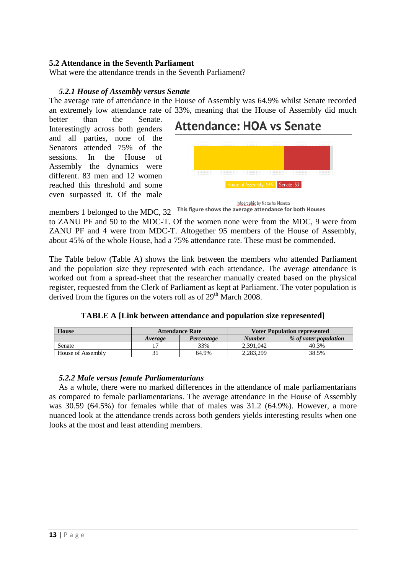# **5.2 Attendance in the Seventh Parliament**

What were the attendance trends in the Seventh Parliament?

#### *5.2.1 House of Assembly versus Senate*

The average rate of attendance in the House of Assembly was 64.9% whilst Senate recorded an extremely low attendance rate of 33%, meaning that the House of Assembly did much

better than the Senate. Interestingly across both genders and all parties, none of the Senators attended 75% of the sessions. In the House of Assembly the dynamics were different. 83 men and 12 women reached this threshold and some even surpassed it. Of the male

# **Attendance: HOA vs Senate**



members 1 belonged to the MDC, 32 **This figure shows the average attendance for both Houses**

to ZANU PF and 50 to the MDC-T. Of the women none were from the MDC, 9 were from ZANU PF and 4 were from MDC-T. Altogether 95 members of the House of Assembly, about 45% of the whole House, had a 75% attendance rate. These must be commended.

The Table below (Table A) shows the link between the members who attended Parliament and the population size they represented with each attendance. The average attendance is worked out from a spread-sheet that the researcher manually created based on the physical register, requested from the Clerk of Parliament as kept at Parliament. The voter population is derived from the figures on the voters roll as of  $29<sup>th</sup>$  March 2008.

| <b>TABLE A [Link between attendance and population size represented]</b> |  |  |  |  |  |  |  |  |
|--------------------------------------------------------------------------|--|--|--|--|--|--|--|--|
|--------------------------------------------------------------------------|--|--|--|--|--|--|--|--|

| <b>House</b>      | <b>Attendance Rate</b> |            | <b>Voter Population represented</b> |                       |  |
|-------------------|------------------------|------------|-------------------------------------|-----------------------|--|
|                   | Average                | Percentage | <b>Number</b>                       | % of voter population |  |
| Senate            |                        | 33%        | 2.391.042                           | 40.3%                 |  |
| House of Assembly |                        | 64.9%      | 2.283.299                           | 38.5%                 |  |

#### *5.2.2 Male versus female Parliamentarians*

As a whole, there were no marked differences in the attendance of male parliamentarians as compared to female parliamentarians. The average attendance in the House of Assembly was 30.59 (64.5%) for females while that of males was 31.2 (64.9%). However, a more nuanced look at the attendance trends across both genders yields interesting results when one looks at the most and least attending members.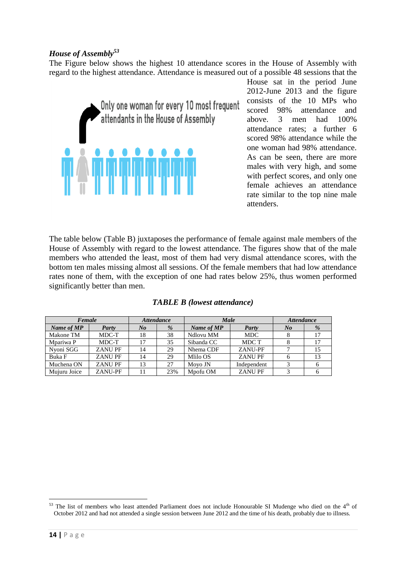# *House of Assembly<sup>53</sup>*

The Figure below shows the highest 10 attendance scores in the House of Assembly with regard to the highest attendance. Attendance is measured out of a possible 48 sessions that the



House sat in the period June 2012-June 2013 and the figure consists of the 10 MPs who scored 98% attendance and above. 3 men had 100% attendance rates; a further 6 scored 98% attendance while the one woman had 98% attendance. As can be seen, there are more males with very high, and some with perfect scores, and only one female achieves an attendance rate similar to the top nine male attenders.

The table below (Table B) juxtaposes the performance of female against male members of the House of Assembly with regard to the lowest attendance. The figures show that of the male members who attended the least, most of them had very dismal attendance scores, with the bottom ten males missing almost all sessions. Of the female members that had low attendance rates none of them, with the exception of one had rates below 25%, thus women performed significantly better than men.

| Female       |               | <b>Attendance</b> |     | Male       |               | <b>Attendance</b> |   |
|--------------|---------------|-------------------|-----|------------|---------------|-------------------|---|
| Name of MP   | Party         | $N_{0}$           | %   | Name of MP | Party         | $N_{0}$           | % |
| Makone TM    | MDC-T         | 18                | 38  | Ndlovu MM  | <b>MDC</b>    |                   |   |
| Mpariwa P    | MDC-T         |                   | 35  | Sibanda CC | MDC T         |                   |   |
| Nyoni SGG    | <b>ZANUPF</b> | 14                | 29  | Nhema CDF  | ZANU-PF       |                   |   |
| Buka F       | ZANU PF       | 14                | 29  | Mlilo OS   | <b>ZANUPF</b> |                   |   |
| Muchena ON   | <b>ZANUPF</b> | 13                | 27  | Moyo JN    | Independent   |                   |   |
| Mujuru Joice | ZANU-PF       |                   | 23% | Mpofu OM   | <b>ZANUPF</b> |                   |   |

|  |  | <b>TABLE B</b> (lowest attendance) |
|--|--|------------------------------------|
|--|--|------------------------------------|

 $\overline{a}$ 

 $53$  The list of members who least attended Parliament does not include Honourable SI Mudenge who died on the  $4<sup>th</sup>$  of October 2012 and had not attended a single session between June 2012 and the time of his death, probably due to illness.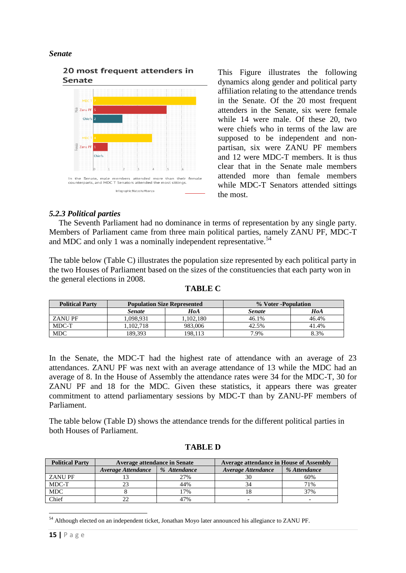#### *Senate*



This Figure illustrates the following dynamics along gender and political party affiliation relating to the attendance trends in the Senate. Of the 20 most frequent attenders in the Senate, six were female while 14 were male. Of these 20, two were chiefs who in terms of the law are supposed to be independent and nonpartisan, six were ZANU PF members and 12 were MDC-T members. It is thus clear that in the Senate male members attended more than female members while MDC-T Senators attended sittings the most.

# *5.2.3 Political parties*

The Seventh Parliament had no dominance in terms of representation by any single party. Members of Parliament came from three main political parties, namely ZANU PF, MDC-T and MDC and only 1 was a nominally independent representative.<sup>54</sup>

The table below (Table C) illustrates the population size represented by each political party in the two Houses of Parliament based on the sizes of the constituencies that each party won in the general elections in 2008.

| TA BLE |  |
|--------|--|
|--------|--|

| <b>Political Party</b> | <b>Population Size Represented</b> |           | % Voter -Population |       |  |
|------------------------|------------------------------------|-----------|---------------------|-------|--|
|                        | <b>Senate</b>                      | HoA       | <b>Senate</b>       | HoA   |  |
| ZANU PF                | 1.098.931                          | 1.102.180 | 46.1%               | 46.4% |  |
| MDC-T                  | 1.102.718                          | 983,006   | 42.5%               | 41.4% |  |
| <b>MDC</b>             | 189,393                            | 198,113   | 7.9%                | 8.3%  |  |

In the Senate, the MDC-T had the highest rate of attendance with an average of 23 attendances. ZANU PF was next with an average attendance of 13 while the MDC had an average of 8. In the House of Assembly the attendance rates were 34 for the MDC-T, 30 for ZANU PF and 18 for the MDC. Given these statistics, it appears there was greater commitment to attend parliamentary sessions by MDC-T than by ZANU-PF members of Parliament.

The table below (Table D) shows the attendance trends for the different political parties in both Houses of Parliament.

| <b>Political Party</b> | <b>Average attendance in Senate</b> |              | <b>Average attendance in House of Assembly</b> |              |  |
|------------------------|-------------------------------------|--------------|------------------------------------------------|--------------|--|
|                        | Average Attendance                  | % Attendance | Average Attendance                             | % Attendance |  |
| <b>ZANU PF</b>         |                                     | 27%          | 30                                             | 60%          |  |
| MDC-T                  |                                     | 44%          | 34                                             | 71%          |  |
| <b>MDC</b>             |                                     | 7%           | Ιŏ                                             | 37%          |  |
| Chief                  |                                     | 47%          |                                                | -            |  |

#### **TABLE D**

**<sup>.</sup>** <sup>54</sup> Although elected on an independent ticket, Jonathan Moyo later announced his allegiance to ZANU PF.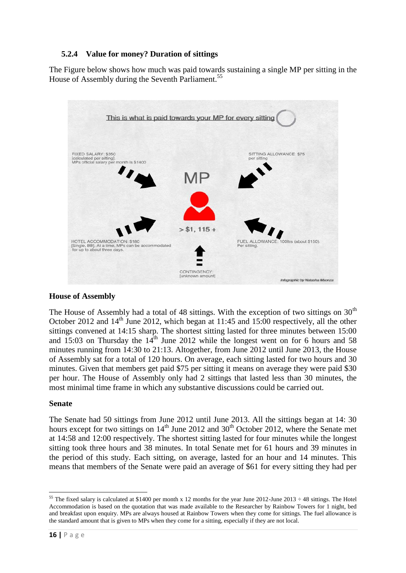# **5.2.4 Value for money? Duration of sittings**

The Figure below shows how much was paid towards sustaining a single MP per sitting in the House of Assembly during the Seventh Parliament.<sup>55</sup>



# **House of Assembly**

The House of Assembly had a total of 48 sittings. With the exception of two sittings on  $30<sup>th</sup>$ October 2012 and  $14<sup>th</sup>$  June 2012, which began at 11:45 and 15:00 respectively, all the other sittings convened at 14:15 sharp. The shortest sitting lasted for three minutes between 15:00 and  $15:03$  on Thursday the  $14<sup>th</sup>$  June 2012 while the longest went on for 6 hours and 58 minutes running from 14:30 to 21:13. Altogether, from June 2012 until June 2013, the House of Assembly sat for a total of 120 hours. On average, each sitting lasted for two hours and 30 minutes. Given that members get paid \$75 per sitting it means on average they were paid \$30 per hour. The House of Assembly only had 2 sittings that lasted less than 30 minutes, the most minimal time frame in which any substantive discussions could be carried out.

# **Senate**

The Senate had 50 sittings from June 2012 until June 2013. All the sittings began at 14: 30 hours except for two sittings on  $14<sup>th</sup>$  June 2012 and 30<sup>th</sup> October 2012, where the Senate met at 14:58 and 12:00 respectively. The shortest sitting lasted for four minutes while the longest sitting took three hours and 38 minutes. In total Senate met for 61 hours and 39 minutes in the period of this study. Each sitting, on average, lasted for an hour and 14 minutes. This means that members of the Senate were paid an average of \$61 for every sitting they had per

<sup>&</sup>lt;sup>55</sup> The fixed salary is calculated at \$1400 per month x 12 months for the year June 2012-June 2013  $\div$  48 sittings. The Hotel Accommodation is based on the quotation that was made available to the Researcher by Rainbow Towers for 1 night, bed and breakfast upon enquiry. MPs are always housed at Rainbow Towers when they come for sittings. The fuel allowance is the standard amount that is given to MPs when they come for a sitting, especially if they are not local.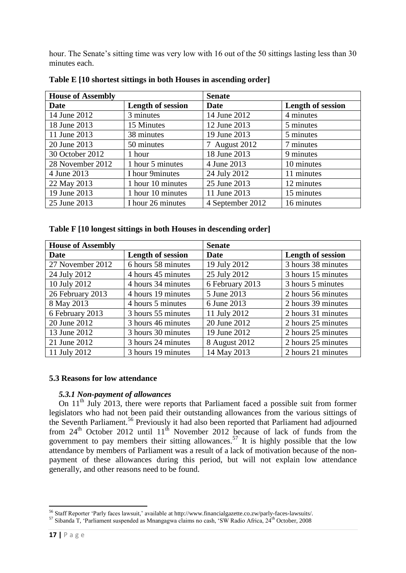hour. The Senate's sitting time was very low with 16 out of the 50 sittings lasting less than 30 minutes each.

| <b>House of Assembly</b> |                          | <b>Senate</b>    |                          |  |  |
|--------------------------|--------------------------|------------------|--------------------------|--|--|
| Date                     | <b>Length of session</b> | Date             | <b>Length of session</b> |  |  |
| 14 June 2012             | 3 minutes                | 14 June 2012     | 4 minutes                |  |  |
| 18 June 2013             | 15 Minutes               | 12 June 2013     | 5 minutes                |  |  |
| 11 June 2013             | 38 minutes               | 19 June 2013     | 5 minutes                |  |  |
| 20 June 2013             | 50 minutes               | 7 August 2012    | 7 minutes                |  |  |
| 30 October 2012          | 1 hour                   | 18 June 2013     | 9 minutes                |  |  |
| 28 November 2012         | 1 hour 5 minutes         | 4 June 2013      | 10 minutes               |  |  |
| 4 June 2013              | I hour 9minutes          | 24 July 2012     | 11 minutes               |  |  |
| 22 May 2013              | 1 hour 10 minutes        | 25 June 2013     | 12 minutes               |  |  |
| 19 June 2013             | 1 hour 10 minutes        | 11 June 2013     | 15 minutes               |  |  |
| 25 June 2013             | I hour 26 minutes        | 4 September 2012 | 16 minutes               |  |  |

**Table E [10 shortest sittings in both Houses in ascending order]**

|  |  |  | Table F [10 longest sittings in both Houses in descending order] |  |
|--|--|--|------------------------------------------------------------------|--|
|  |  |  |                                                                  |  |
|  |  |  |                                                                  |  |
|  |  |  |                                                                  |  |

| <b>House of Assembly</b> |                    | <b>Senate</b>   |                    |
|--------------------------|--------------------|-----------------|--------------------|
| Date                     | Length of session  | <b>Date</b>     | Length of session  |
| 27 November 2012         | 6 hours 58 minutes | 19 July 2012    | 3 hours 38 minutes |
| 24 July 2012             | 4 hours 45 minutes | 25 July 2012    | 3 hours 15 minutes |
| 10 July 2012             | 4 hours 34 minutes | 6 February 2013 | 3 hours 5 minutes  |
| 26 February 2013         | 4 hours 19 minutes | 5 June 2013     | 2 hours 56 minutes |
| 8 May 2013               | 4 hours 5 minutes  | 6 June 2013     | 2 hours 39 minutes |
| 6 February 2013          | 3 hours 55 minutes | 11 July 2012    | 2 hours 31 minutes |
| 20 June 2012             | 3 hours 46 minutes | 20 June 2012    | 2 hours 25 minutes |
| 13 June 2012             | 3 hours 30 minutes | 19 June 2012    | 2 hours 25 minutes |
| 21 June 2012             | 3 hours 24 minutes | 8 August 2012   | 2 hours 25 minutes |
| 11 July 2012             | 3 hours 19 minutes | 14 May 2013     | 2 hours 21 minutes |

#### **5.3 Reasons for low attendance**

# *5.3.1 Non-payment of allowances*

On  $11<sup>th</sup>$  July 2013, there were reports that Parliament faced a possible suit from former legislators who had not been paid their outstanding allowances from the various sittings of the Seventh Parliament.<sup>56</sup> Previously it had also been reported that Parliament had adjourned from  $24<sup>th</sup>$  October 2012 until  $11<sup>th</sup>$  November 2012 because of lack of funds from the government to pay members their sitting allowances.<sup>57</sup> It is highly possible that the low attendance by members of Parliament was a result of a lack of motivation because of the nonpayment of these allowances during this period, but will not explain low attendance generally, and other reasons need to be found.

**<sup>.</sup>** <sup>56</sup> Staff Reporter 'Parly faces lawsuit,' available at http://www.financialgazette.co.zw/parly-faces-lawsuits/.

<sup>57</sup> Sibanda T, 'Parliament suspended as Mnangagwa claims no cash, 'SW Radio Africa, 24th October, 2008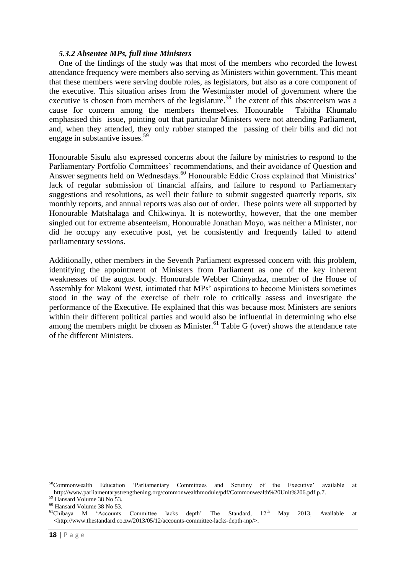#### *5.3.2 Absentee MPs, full time Ministers*

One of the findings of the study was that most of the members who recorded the lowest attendance frequency were members also serving as Ministers within government. This meant that these members were serving double roles, as legislators, but also as a core component of the executive. This situation arises from the Westminster model of government where the executive is chosen from members of the legislature.<sup>58</sup> The extent of this absenteeism was a cause for concern among the members themselves. Honourable Tabitha Khumalo emphasised this issue, pointing out that particular Ministers were not attending Parliament, and, when they attended, they only rubber stamped the passing of their bills and did not engage in substantive issues.<sup>59</sup>

Honourable Sisulu also expressed concerns about the failure by ministries to respond to the Parliamentary Portfolio Committees' recommendations, and their avoidance of Question and Answer segments held on Wednesdays.<sup>60</sup> Honourable Eddie Cross explained that Ministries' lack of regular submission of financial affairs, and failure to respond to Parliamentary suggestions and resolutions, as well their failure to submit suggested quarterly reports, six monthly reports, and annual reports was also out of order. These points were all supported by Honourable Matshalaga and Chikwinya. It is noteworthy, however, that the one member singled out for extreme absenteeism, Honourable Jonathan Moyo, was neither a Minister, nor did he occupy any executive post, yet he consistently and frequently failed to attend parliamentary sessions.

Additionally, other members in the Seventh Parliament expressed concern with this problem, identifying the appointment of Ministers from Parliament as one of the key inherent weaknesses of the august body. Honourable Webber Chinyadza, member of the House of Assembly for Makoni West, intimated that MPs' aspirations to become Ministers sometimes stood in the way of the exercise of their role to critically assess and investigate the performance of the Executive. He explained that this was because most Ministers are seniors within their different political parties and would also be influential in determining who else among the members might be chosen as Minister.<sup>61</sup> Table G (over) shows the attendance rate of the different Ministers.

 $\overline{a}$ 

<sup>58</sup>Commonwealth Education 'Parliamentary Committees and Scrutiny of the Executive' available at http://www.parliamentarystrengthening.org/commonwealthmodule/pdf/Commonwealth%20Unit%206.pdf p.7.

<sup>59</sup> Hansard Volume 38 No 53.

<sup>60</sup> Hansard Volume 38 No 53.

 $<sup>61</sup>Chibaya$  M 'Accounts Committee lacks depth' The Standard,  $12<sup>th</sup>$  May 2013, Available at</sup> <http://www.thestandard.co.zw/2013/05/12/accounts-committee-lacks-depth-mp/>.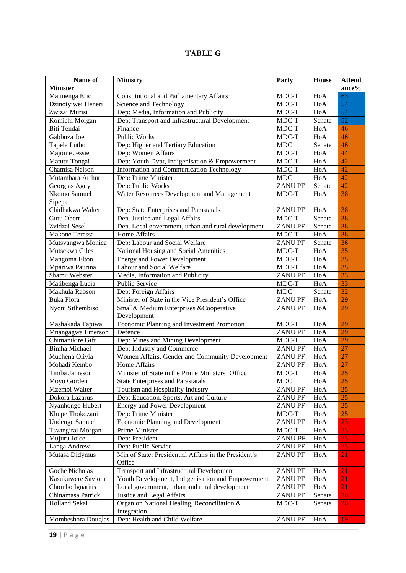# **TABLE G**

| Name of               | <b>Ministry</b>                                       | Party          | House  | <b>Attend</b>   |
|-----------------------|-------------------------------------------------------|----------------|--------|-----------------|
| <b>Minister</b>       |                                                       |                |        | ance%           |
| Matinenga Eric        | Constitutional and Parliamentary Affairs              | MDC-T          | HoA    | 63              |
| Dzinotyiwei Heneri    | Science and Technology                                | MDC-T          | HoA    | 54              |
| Zwizai Murisi         | Dep: Media, Information and Publicity                 | MDC-T          | HoA    | 54              |
| Komichi Morgan        | Dep: Transport and Infrastructural Development        | MDC-T          | Senate | 52              |
| Biti Tendai           | Finance                                               | MDC-T          | HoA    | 46              |
| Gabbuza Joel          | <b>Public Works</b>                                   | MDC-T          | HoA    | 46              |
| Tapela Lutho          | Dep: Higher and Tertiary Education                    | <b>MDC</b>     | Senate | 46              |
| Majome Jessie         | Dep: Women Affairs                                    | MDC-T          | HoA    | 44              |
| Matutu Tongai         | Dep: Youth Dvpt, Indigenisation & Empowerment         | MDC-T          | HoA    | 42              |
| Chamisa Nelson        | Information and Communication Technology              | MDC-T          | HoA    | $\overline{42}$ |
| Mutambara Arthur      | Dep: Prime Minister                                   | <b>MDC</b>     | HoA    | $\overline{42}$ |
| Georgias Aguy         | Dep: Public Works                                     | ZANU PF        | Senate | 42              |
| Nkomo Samuel          | Water Resources Development and Management            | MDC-T          | HoA    | 38              |
| Sipepa                |                                                       |                |        |                 |
| Chidhakwa Walter      | Dep: State Enterprises and Parastatals                | <b>ZANUPF</b>  | HoA    | 38              |
| Gutu Obert            | Dep. Justice and Legal Affairs                        | MDC-T          | Senate | 38              |
| Zvidzai Sesel         | Dep. Local government, urban and rural development    | <b>ZANUPF</b>  | Senate | 38              |
| Makone Teressa        | Home Affairs                                          | MDC-T          | HoA    | 38              |
| Mutsvangwa Monica     | Dep: Labour and Social Welfare                        | <b>ZANUPF</b>  | Senate | $\overline{36}$ |
| Mutsekwa Giles        | National Housing and Social Amenities                 | MDC-T          | HoA    | $\overline{35}$ |
| Mangoma Elton         | <b>Energy and Power Development</b>                   | MDC-T          | HoA    | $\overline{35}$ |
| Mpariwa Paurina       | Labour and Social Welfare                             | MDC-T          | HoA    | $\overline{35}$ |
| Shamu Webster         | Media, Information and Publicity                      | <b>ZANUPF</b>  | HoA    | 33              |
| Matibenga Lucia       | <b>Public Service</b>                                 | MDC-T          | HoA    | 33              |
| Makhula Rabson        | Dep: Foreign Affairs                                  | <b>MDC</b>     | Senate | $\overline{32}$ |
| Buka Flora            | Minister of State in the Vice President's Office      | <b>ZANUPF</b>  | HoA    | 29              |
| Nyoni Sithembiso      | Small& Medium Enterprises &Cooperative                | <b>ZANUPF</b>  | HoA    | 29              |
|                       | Development                                           |                |        |                 |
| Mashakada Tapiwa      | Economic Planning and Investment Promotion            | MDC-T          | HoA    | 29              |
| Mnangagwa Emerson     | Defence                                               | <b>ZANUPF</b>  | HoA    | 29              |
| Chimanikire Gift      | Dep: Mines and Mining Development                     | MDC-T          | HoA    | 29              |
| <b>Bimha Michael</b>  | Dep: Industry and Commerce                            | <b>ZANUPF</b>  | HoA    | 27              |
| Muchena Olivia        | Women Affairs, Gender and Community Development       | <b>ZANUPF</b>  | HoA    | 27              |
| Mohadi Kembo          | Home Affairs                                          | <b>ZANUPF</b>  | HoA    | 27              |
| Timba Jameson         | Minister of State in the Prime Ministers' Office      | MDC-T          | HoA    | 25              |
| Moyo Gorden           | <b>State Enterprises and Parastatals</b>              | MDC            | HoA    | <b>25</b>       |
| Mzembi Walter         | Tourism and Hospitality Industry                      | <b>ZANUPF</b>  | HoA    | 25              |
| Dokora Lazarus        | Dep: Education, Sports, Art and Culture               | <b>ZANU PF</b> | HoA    | 25              |
| Nyanhongo Hubert      | <b>Energy and Power Development</b>                   | <b>ZANU PF</b> | HoA    | 25              |
| Khupe Thokozani       | Dep: Prime Minister                                   | MDC-T          | HoA    | 25              |
| <b>Undenge Samuel</b> | <b>Economic Planning and Development</b>              | <b>ZANU PF</b> | HoA    | 23              |
| Tsvangirai Morgan     | Prime Minister                                        | MDC-T          | HoA    | 23              |
| Mujuru Joice          | Dep: President                                        | ZANU-PF        | HoA    | 23              |
| Langa Andrew          | Dep: Public Service                                   | <b>ZANU PF</b> | HoA    | 23              |
| Mutasa Didymus        | Min of State: Presidential Affairs in the President's | <b>ZANUPF</b>  | HoA    | 21              |
|                       | Office                                                |                |        |                 |
| Goche Nicholas        | <b>Transport and Infrastructural Development</b>      | <b>ZANU PF</b> | HoA    | 21              |
| Kasukuwere Saviour    | Youth Development, Indigenisation and Empowerment     | <b>ZANU PF</b> | HoA    | 21              |
| Chombo Ignatius       | Local government, urban and rural development         | <b>ZANU PF</b> | HoA    | 21              |
| Chinamasa Patrick     | Justice and Legal Affairs                             | ZANU PF        | Senate | 20              |
| Holland Sekai         | Organ on National Healing, Reconciliation &           | MDC-T          | Senate | 20              |
|                       | Integration                                           |                |        |                 |
| Mombeshora Douglas    | Dep: Health and Child Welfare                         | <b>ZANUPF</b>  | HoA    | 19              |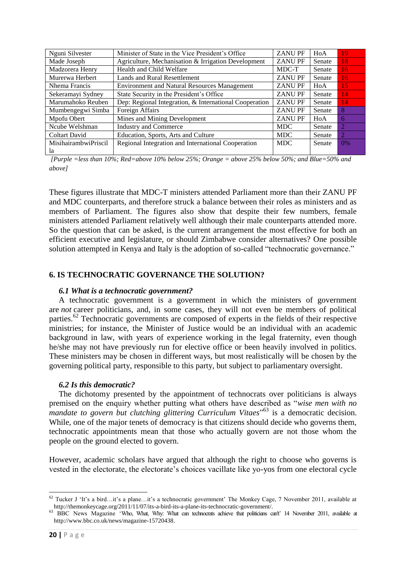| Nguni Silvester             | Minister of State in the Vice President's Office       | <b>ZANUPF</b> | HoA    | 19                          |
|-----------------------------|--------------------------------------------------------|---------------|--------|-----------------------------|
| Made Joseph                 | Agriculture, Mechanisation & Irrigation Development    | <b>ZANUPF</b> | Senate | 18                          |
| Madzorera Henry             | Health and Child Welfare                               | MDC-T         | Senate | 16                          |
| Murerwa Herbert             | <b>Lands and Rural Resettlement</b>                    | <b>ZANUPF</b> | Senate | 16                          |
| Nhema Francis               | <b>Environment and Natural Resources Management</b>    | <b>ZANUPF</b> | HoA    | 15                          |
| Sekeramayi Sydney           | State Security in the President's Office               | <b>ZANUPF</b> | Senate | 14                          |
| Marumahoko Reuben           | Dep: Regional Integration, & International Cooperation | <b>ZANUPF</b> | Senate | 14                          |
| Mumbengegwi Simba           | Foreign Affairs                                        | <b>ZANUPF</b> | Senate | 8                           |
| Mpofu Obert                 | Mines and Mining Development                           | <b>ZANUPF</b> | HoA    | 6                           |
| Ncube Welshman              | <b>Industry and Commerce</b>                           | <b>MDC</b>    | Senate | $\mathcal{D}_{\mathcal{L}}$ |
| <b>Coltart David</b>        | Education, Sports, Arts and Culture                    | <b>MDC</b>    | Senate | 2                           |
| <b>MisihairambwiPriscil</b> | Regional Integration and International Cooperation     | <b>MDC</b>    | Senate | 0%                          |
| 1a                          |                                                        |               |        |                             |

*[Purple =less than 10%; Red=above 10% below 25%; Orange = above 25% below 50%; and Blue=50% and above]*

These figures illustrate that MDC-T ministers attended Parliament more than their ZANU PF and MDC counterparts, and therefore struck a balance between their roles as ministers and as members of Parliament. The figures also show that despite their few numbers, female ministers attended Parliament relatively well although their male counterparts attended more. So the question that can be asked, is the current arrangement the most effective for both an efficient executive and legislature, or should Zimbabwe consider alternatives? One possible solution attempted in Kenya and Italy is the adoption of so-called "technocratic governance."

#### **6. IS TECHNOCRATIC GOVERNANCE THE SOLUTION?**

#### *6.1 What is a technocratic government?*

A technocratic government is a government in which the ministers of government are *not* career politicians, and, in some cases, they will not even be members of political parties.<sup>62</sup> Technocratic governments are composed of experts in the fields of their respective ministries; for instance, the Minister of Justice would be an individual with an academic background in law, with years of experience working in the legal fraternity, even though he/she may not have previously run for elective office or been heavily involved in politics. These ministers may be chosen in different ways, but most realistically will be chosen by the governing political party, responsible to this party, but subject to parliamentary oversight.

#### *6.2 Is this democratic?*

The dichotomy presented by the appointment of technocrats over politicians is always premised on the enquiry whether putting what others have described as "*wise men with no mandate to govern but clutching glittering Curriculum Vitaes*" <sup>63</sup> is a democratic decision. While, one of the major tenets of democracy is that citizens should decide who governs them. technocratic appointments mean that those who actually govern are not those whom the people on the ground elected to govern.

However, academic scholars have argued that although the right to choose who governs is vested in the electorate, the electorate's choices vacillate like yo-yos from one electoral cycle

<sup>&</sup>lt;sup>62</sup> Tucker J 'It's a bird…it's a plane…it's a technocratic government' The Monkey Cage, 7 November 2011, available at http://themonkeycage.org/2011/11/07/its-a-bird-its-a-plane-its-technocratic-government/.

<sup>63</sup> BBC News Magazine 'Who, What, Why: What can technocrats achieve that politicians can't' 14 November 2011, available at http://www.bbc.co.uk/news/magazine-15720438.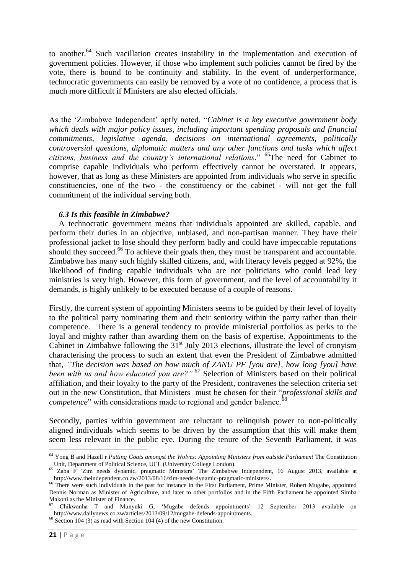to another.<sup>64</sup> Such vacillation creates instability in the implementation and execution of government policies. However, if those who implement such policies cannot be fired by the vote, there is bound to be continuity and stability. In the event of underperformance, technocratic governments can easily be removed by a vote of no confidence, a process that is much more difficult if Ministers are also elected officials.

As the 'Zimbabwe Independent' aptly noted, "*Cabinet is a key executive government body which deals with major policy issues, including important spending proposals and financial commitments, legislative agenda, decisions on international agreements, politically controversial questions, diplomatic matters and any other functions and tasks which affect citizens, business and the country's international relations*." <sup>65</sup>The need for Cabinet to comprise capable individuals who perform effectively cannot be overstated. It appears, however, that as long as these Ministers are appointed from individuals who serve in specific constituencies, one of the two - the constituency or the cabinet - will not get the full commitment of the individual serving both.

#### *6.3 Is this feasible in Zimbabwe?*

A technocratic government means that individuals appointed are skilled, capable, and perform their duties in an objective, unbiased, and non-partisan manner. They have their professional jacket to lose should they perform badly and could have impeccable reputations should they succeed.<sup>66</sup> To achieve their goals then, they must be transparent and accountable. Zimbabwe has many such highly skilled citizens, and, with literacy levels pegged at 92%, the likelihood of finding capable individuals who are not politicians who could lead key ministries is very high. However, this form of government, and the level of accountability it demands, is highly unlikely to be executed because of a couple of reasons.

Firstly, the current system of appointing Ministers seems to be guided by their level of loyalty to the political party nominating them and their seniority within the party rather than their competence. There is a general tendency to provide ministerial portfolios as perks to the loyal and mighty rather than awarding them on the basis of expertise. Appointments to the Cabinet in Zimbabwe following the  $31<sup>st</sup>$  July 2013 elections, illustrate the level of cronyism characterising the process to such an extent that even the President of Zimbabwe admitted that, *"The decision was based on how much of ZANU PF [you are], how long [you] have been with us and how educated you are?"* <sup>67</sup> Selection of Ministers based on their political affiliation, and their loyalty to the party of the President, contravenes the selection criteria set out in the new Constitution, that Ministers must be chosen for their "*professional skills and competence*" with considerations made to regional and gender balance.<sup>68</sup>

Secondly, parties within government are reluctant to relinquish power to non-politically aligned individuals which seems to be driven by the assumption that this will make them seem less relevant in the public eye. During the tenure of the Seventh Parliament, it was

 $68$  Section 104 (3) as read with Section 104 (4) of the new Constitution.

 $\overline{a}$ <sup>64</sup> Yong B and Hazell r *Putting Goats amongst the Wolves: Appointing Ministers from outside Parliament* The Constitution Unit, Department of Political Science, UCL (University College London).

 $65$  Zaba F 'Zim needs dynamic, pragmatic Ministers' The Zimbabwe Independent, 16 August 2013, available at http://www.theindependent.co.zw/2013/08/16/zim-needs-dynamic-pragmatic-ministers/**.**

<sup>&</sup>lt;sup>66</sup> There were such individuals in the past for instance in the First Parliament, Prime Minister, Robert Mugabe, appointed Dennis Norman as Minister of Agriculture, and later to other portfolios and in the Fifth Parliament he appointed Simba Makoni as the Minister of Finance.

<sup>67</sup> Chikwanha T and Munyuki G, 'Mugabe defends appointments' 12 September 2013 available on http://www.dailynews.co.zw/articles/2013/09/12/mugabe-defends-appointments.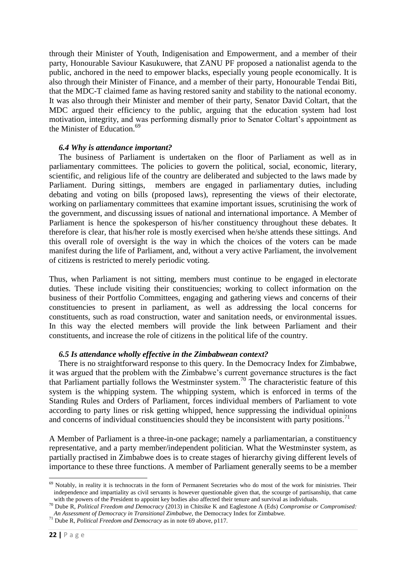through their Minister of Youth, Indigenisation and Empowerment, and a member of their party, Honourable Saviour Kasukuwere, that ZANU PF proposed a nationalist agenda to the public, anchored in the need to empower blacks, especially young people economically. It is also through their Minister of Finance, and a member of their party, Honourable Tendai Biti, that the MDC-T claimed fame as having restored sanity and stability to the national economy. It was also through their Minister and member of their party, Senator David Coltart, that the MDC argued their efficiency to the public, arguing that the education system had lost motivation, integrity, and was performing dismally prior to Senator Coltart's appointment as the Minister of Education.<sup>69</sup>

#### *6.4 Why is attendance important?*

The business of Parliament is undertaken on the floor of Parliament as well as in parliamentary committees. The policies to govern the political, social, economic, literary, scientific, and religious life of the country are deliberated and subjected to the laws made by Parliament. During sittings, members are engaged in parliamentary duties, including debating and voting on bills (proposed laws), representing the views of their electorate, working on parliamentary committees that examine important issues, scrutinising the work of the government, and discussing issues of national and international importance. A Member of Parliament is hence the spokesperson of his/her constituency throughout these debates. It therefore is clear, that his/her role is mostly exercised when he/she attends these sittings. And this overall role of oversight is the way in which the choices of the voters can be made manifest during the life of Parliament, and, without a very active Parliament, the involvement of citizens is restricted to merely periodic voting.

Thus, when Parliament is not sitting, members must continue to be engaged in electorate duties. These include visiting their constituencies; working to collect information on the business of their Portfolio Committees, engaging and gathering views and concerns of their constituencies to present in parliament, as well as addressing the local concerns for constituents, such as road construction, water and sanitation needs, or environmental issues. In this way the elected members will provide the link between Parliament and their constituents, and increase the role of citizens in the political life of the country.

#### *6.5 Is attendance wholly effective in the Zimbabwean context?*

There is no straightforward response to this query. In the Democracy Index for Zimbabwe, it was argued that the problem with the Zimbabwe's current governance structures is the fact that Parliament partially follows the Westminster system.<sup>70</sup> The characteristic feature of this system is the whipping system. The whipping system, which is enforced in terms of the Standing Rules and Orders of Parliament, forces individual members of Parliament to vote according to party lines or risk getting whipped, hence suppressing the individual opinions and concerns of individual constituencies should they be inconsistent with party positions.<sup>71</sup>

A Member of Parliament is a three-in-one package; namely a parliamentarian, a constituency representative, and a party member/independent politician. What the Westminster system, as partially practised in Zimbabwe does is to create stages of hierarchy giving different levels of importance to these three functions. A member of Parliament generally seems to be a member

 $\overline{a}$  $69$  Notably, in reality it is technocrats in the form of Permanent Secretaries who do most of the work for ministries. Their independence and impartiality as civil servants is however questionable given that, the scourge of partisanship, that came with the powers of the President to appoint key bodies also affected their tenure and survival as individuals.

<sup>70</sup> Dube R, *Political Freedom and Democracy* (2013) in Chitsike K and Eaglestone A (Eds) *Compromise or Compromised: An Assessment of Democracy in Transitional Zimbabwe*, the Democracy Index for Zimbabwe.

<sup>71</sup> Dube R, *Political Freedom and Democracy* as in note 69 above, p117.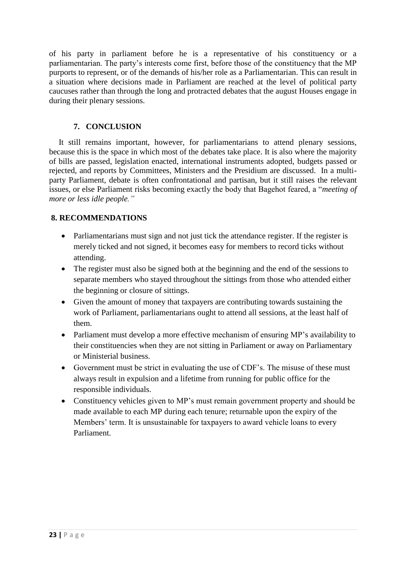of his party in parliament before he is a representative of his constituency or a parliamentarian. The party's interests come first, before those of the constituency that the MP purports to represent, or of the demands of his/her role as a Parliamentarian. This can result in a situation where decisions made in Parliament are reached at the level of political party caucuses rather than through the long and protracted debates that the august Houses engage in during their plenary sessions.

# **7. CONCLUSION**

It still remains important, however, for parliamentarians to attend plenary sessions, because this is the space in which most of the debates take place. It is also where the majority of bills are passed, legislation enacted, international instruments adopted, budgets passed or rejected, and reports by Committees, Ministers and the Presidium are discussed. In a multiparty Parliament, debate is often confrontational and partisan, but it still raises the relevant issues, or else Parliament risks becoming exactly the body that Bagehot feared, a "*meeting of more or less idle people."*

# **8. RECOMMENDATIONS**

- Parliamentarians must sign and not just tick the attendance register. If the register is merely ticked and not signed, it becomes easy for members to record ticks without attending.
- The register must also be signed both at the beginning and the end of the sessions to separate members who stayed throughout the sittings from those who attended either the beginning or closure of sittings.
- Given the amount of money that taxpayers are contributing towards sustaining the work of Parliament, parliamentarians ought to attend all sessions, at the least half of them.
- Parliament must develop a more effective mechanism of ensuring MP's availability to their constituencies when they are not sitting in Parliament or away on Parliamentary or Ministerial business.
- Government must be strict in evaluating the use of CDF's. The misuse of these must always result in expulsion and a lifetime from running for public office for the responsible individuals.
- Constituency vehicles given to MP's must remain government property and should be made available to each MP during each tenure; returnable upon the expiry of the Members' term. It is unsustainable for taxpayers to award vehicle loans to every Parliament.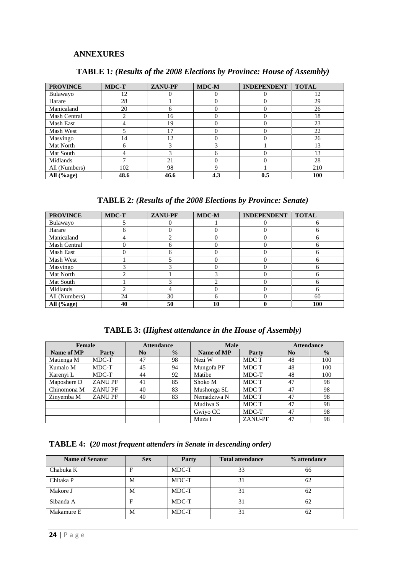#### **ANNEXURES**

| <b>PROVINCE</b> | <b>MDC-T</b> | <b>ZANU-PF</b> | <b>MDC-M</b> | <b>INDEPENDENT</b> | <b>TOTAL</b> |
|-----------------|--------------|----------------|--------------|--------------------|--------------|
| Bulawayo        | 12           |                |              |                    | 12           |
| Harare          | 28           |                |              |                    | 29           |
| Manicaland      | 20           | h              |              |                    | 26           |
| Mash Central    |              | 16             |              |                    | 18           |
| Mash East       |              | 19             | $\left($     |                    | 23           |
| Mash West       |              | 17             |              |                    | 22           |
| Masvingo        | 14           | 12             |              |                    | 26           |
| Mat North       | 6            |                | $\bigcirc$   |                    | 13           |
| Mat South       |              |                | <sub>6</sub> |                    | 13           |
| Midlands        |              | 21             | $\Omega$     |                    | 28           |
| All (Numbers)   | 102          | 98             | 9            |                    | 210          |
| All $(\%$ age)  | 48.6         | 46.6           | 4.3          | 0.5                | 100          |

# **TABLE 1***: (Results of the 2008 Elections by Province: House of Assembly)*

**TABLE 2***: (Results of the 2008 Elections by Province: Senate)*

| <b>PROVINCE</b> | <b>MDC-T</b> | ZANU-PF | <b>MDC-M</b> | <b>INDEPENDENT</b> | <b>TOTAL</b> |
|-----------------|--------------|---------|--------------|--------------------|--------------|
| Bulawayo        |              |         |              |                    |              |
| Harare          |              |         |              |                    | n            |
| Manicaland      |              |         |              |                    | h            |
| Mash Central    |              |         |              |                    | h            |
| Mash East       |              |         |              |                    | h            |
| Mash West       |              |         |              |                    | n            |
| Masvingo        |              |         |              |                    | n            |
| Mat North       | ◠            |         | 3            |                    | h            |
| Mat South       |              |         |              |                    | h            |
| Midlands        |              |         |              |                    | 6            |
| All (Numbers)   | 24           | 30      | h            |                    | 60           |
| All (%age)      | 40           | 50      | 10           |                    | 100          |

# **TABLE 3: (***Highest attendance in the House of Assembly)*

| Female      |               | <b>Attendance</b> |               | <b>Male</b>          |         | <b>Attendance</b> |               |
|-------------|---------------|-------------------|---------------|----------------------|---------|-------------------|---------------|
| Name of MP  | Party         | N <sub>0</sub>    | $\frac{0}{0}$ | Name of MP           | Party   | N <sub>0</sub>    | $\frac{0}{0}$ |
| Matienga M  | MDC-T         | 47                | 98            | Nezi W               | MDC T   | 48                | 100           |
| Kumalo M    | MDC-T         | 45                | 94            | Mungofa PF           | MDC T   | 48                | 100           |
| Karenyi L   | MDC-T         | 44                | 92            | Matibe               | MDC-T   | 48                | 100           |
| Maposhere D | <b>ZANUPF</b> | 41                | 85            | Shoko M              | MDC T   | 47                | 98            |
| Chinomona M | <b>ZANUPF</b> | 40                | 83            | Mushonga SL          | MDC T   | 47                | 98            |
| Zinyemba M  | <b>ZANUPF</b> | 40                | 83            | Nemadziwa N<br>MDC T |         | 47                | 98            |
|             |               |                   |               | Mudiwa S             | MDC T   | 47                | 98            |
|             |               |                   |               | Gwiyo CC             | MDC-T   | 47                | 98            |
|             |               |                   | Muza I        |                      | ZANU-PF | 47                | 98            |

**TABLE 4: (***20 most frequent attenders in Senate in descending order)*

| <b>Name of Senator</b> | <b>Sex</b> | Party | <b>Total attendance</b> | % attendance |
|------------------------|------------|-------|-------------------------|--------------|
| Chabuka K              | E          | MDC-T | 33                      | 66           |
| Chitaka P              | M          | MDC-T | 31                      | 62           |
| Makore J               | M          | MDC-T | 31                      | 62           |
| Sibanda A              | E          | MDC-T | 31                      | 62           |
| Makamure E             | M          | MDC-T | 31                      | 62           |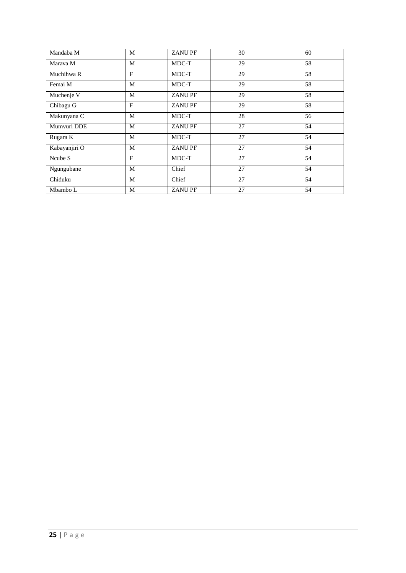| Mandaba M     | M | <b>ZANUPF</b> | 30 | 60 |
|---------------|---|---------------|----|----|
| Marava M      | M | MDC-T         | 29 | 58 |
| Muchihwa R    | F | MDC-T         | 29 | 58 |
| Femai M       | M | MDC-T         | 29 | 58 |
| Muchenje V    | M | <b>ZANUPF</b> | 29 | 58 |
| Chibagu G     | F | <b>ZANUPF</b> | 29 | 58 |
| Makunyana C   | M | MDC-T         | 28 | 56 |
| Mumvuri DDE   | M | <b>ZANUPF</b> | 27 | 54 |
| Rugara K      | M | MDC-T         | 27 | 54 |
| Kabayanjiri O | M | <b>ZANUPF</b> | 27 | 54 |
| Ncube S       | F | MDC-T         | 27 | 54 |
| Ngungubane    | M | Chief         | 27 | 54 |
| Chiduku       | M | Chief         | 27 | 54 |
| Mbambo L      | M | <b>ZANUPF</b> | 27 | 54 |